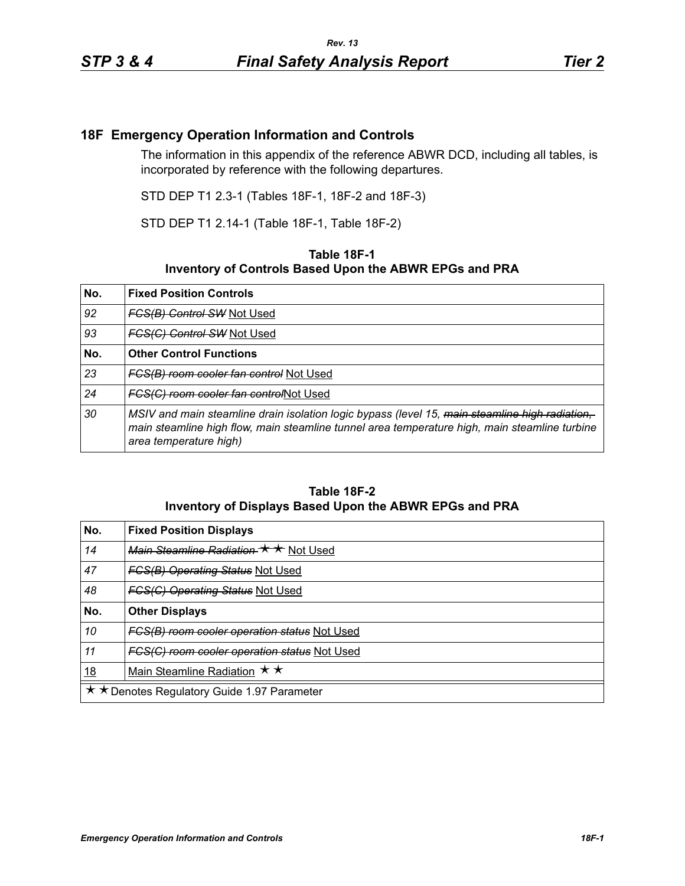## **18F Emergency Operation Information and Controls**

The information in this appendix of the reference ABWR DCD, including all tables, is incorporated by reference with the following departures.

STD DEP T1 2.3-1 (Tables 18F-1, 18F-2 and 18F-3)

STD DEP T1 2.14-1 (Table 18F-1, Table 18F-2)

## **Table 18F-1 Inventory of Controls Based Upon the ABWR EPGs and PRA**

| No. | <b>Fixed Position Controls</b>                                                                                                                                                                                            |
|-----|---------------------------------------------------------------------------------------------------------------------------------------------------------------------------------------------------------------------------|
| 92  | <b>FCS(B) Control SW Not Used</b>                                                                                                                                                                                         |
| 93  | <b>FCS(C) Control SW Not Used</b>                                                                                                                                                                                         |
| No. | <b>Other Control Functions</b>                                                                                                                                                                                            |
| 23  | FCS(B) room cooler fan control Not Used                                                                                                                                                                                   |
| 24  | FCS(C) room cooler fan controlNot Used                                                                                                                                                                                    |
| 30  | MSIV and main steamline drain isolation logic bypass (level 15, main steamline high radiation,<br>main steamline high flow, main steamline tunnel area temperature high, main steamline turbine<br>area temperature high) |

## **Table 18F-2 Inventory of Displays Based Upon the ABWR EPGs and PRA**

| No.                                         | <b>Fixed Position Displays</b>               |
|---------------------------------------------|----------------------------------------------|
| 14                                          | Main Steamline Radiation ★ ★ Not Used        |
| 47                                          | <b>FCS(B) Operating Status Not Used</b>      |
| 48                                          | <b>FCS(C) Operating Status Not Used</b>      |
| No.                                         | <b>Other Displays</b>                        |
| 10                                          | FCS(B) room cooler operation status Not Used |
| 11                                          | FGS(C) room cooler operation status Not Used |
| <u>18</u>                                   | Main Steamline Radiation $\star \star$       |
| ★ ★ Denotes Regulatory Guide 1.97 Parameter |                                              |